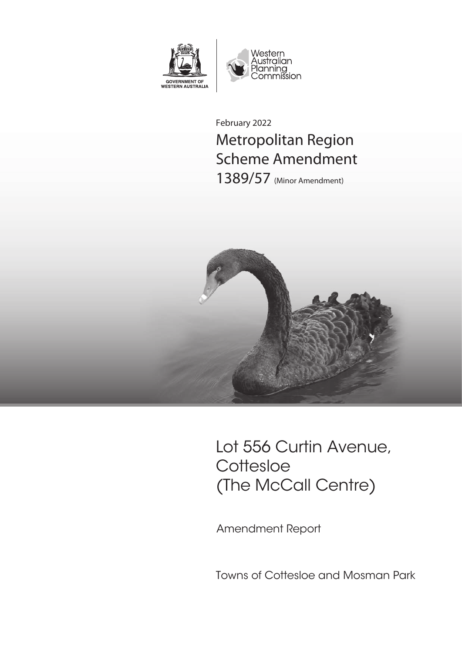

February 2022 Metropolitan Region Scheme Amendment 1389/57 (Minor Amendment)



Lot 556 Curtin Avenue, Cottesloe (The McCall Centre)

Amendment Report

Towns of Cottesloe and Mosman Park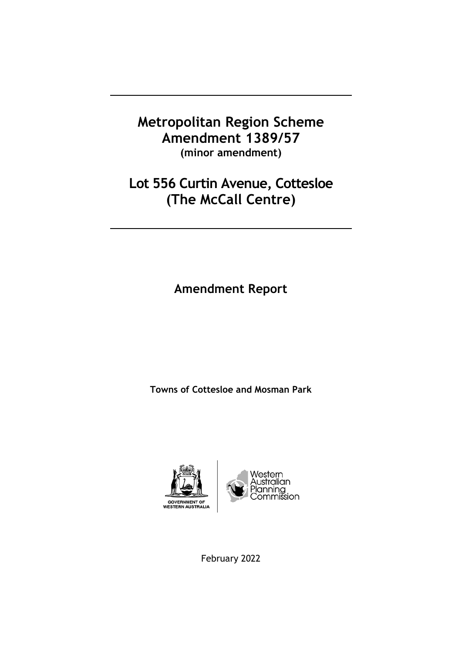## **Metropolitan Region Scheme Amendment 1389/57 (minor amendment)**

## **Lot 556 Curtin Avenue, Cottesloe (The McCall Centre)**

**Amendment Report**

**Towns of Cottesloe and Mosman Park**



February 2022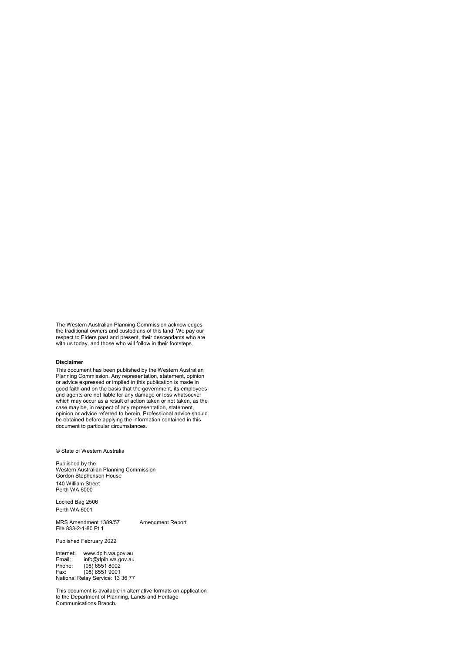The Western Australian Planning Commission acknowledges the traditional owners and custodians of this land. We pay our respect to Elders past and present, their descendants who are with us today, and those who will follow in their footsteps.

#### **Disclaimer**

This document has been published by the Western Australian Planning Commission. Any representation, statement, opinion or advice expressed or implied in this publication is made in good faith and on the basis that the government, its employees and agents are not liable for any damage or loss whatsoever which may occur as a result of action taken or not taken, as the case may be, in respect of any representation, statement, opinion or advice referred to herein. Professional advice should be obtained before applying the information contained in this document to particular circumstances.

© State of Western Australia

Published by the Western Australian Planning Commission Gordon Stephenson House 140 William Street Perth WA 6000

Locked Bag 2506 Perth WA 6001

MRS Amendment 1389/57 Amendment Report File 833-2-1-80 Pt 1

Published February 2022

Internet: www.dplh.wa.gov.au<br>Email: info@dplh.wa.gov.au Email: info@dplh.wa.gov.au Phone: (08) 6551 8002 Fax: (08) 6551 9001 National Relay Service: 13 36 77

This document is available in alternative formats on application to the Department of Planning, Lands and Heritage Communications Branch.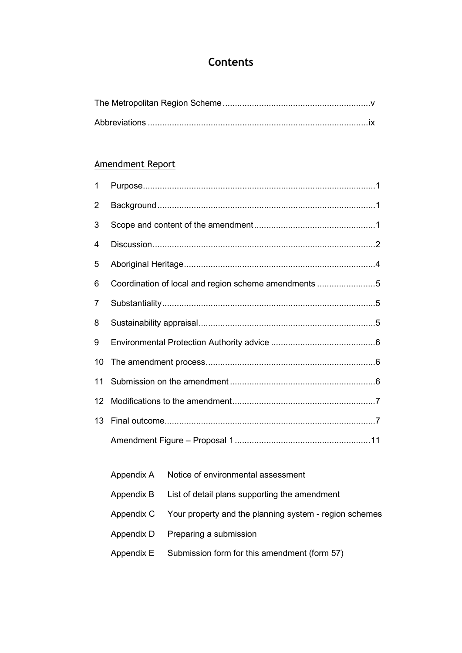## **Contents**

## Amendment Report

| $\mathbf 1$    |                                                      |
|----------------|------------------------------------------------------|
| $\overline{2}$ |                                                      |
| 3              |                                                      |
| 4              |                                                      |
| 5              |                                                      |
| 6              | Coordination of local and region scheme amendments 5 |
| 7              |                                                      |
| 8              |                                                      |
| 9              |                                                      |
| 10             |                                                      |
| 11             |                                                      |
| 12             |                                                      |
| 13             |                                                      |
|                |                                                      |

| Appendix A Notice of environmental assessment                     |
|-------------------------------------------------------------------|
| Appendix B List of detail plans supporting the amendment          |
| Appendix C Your property and the planning system - region schemes |
| Appendix D Preparing a submission                                 |
| Appendix $E$ Submission form for this amendment (form 57)         |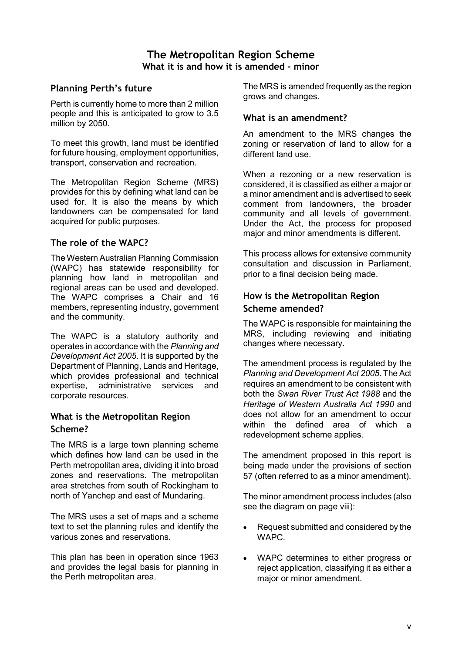## **The Metropolitan Region Scheme What it is and how it is amended - minor**

### **Planning Perth's future**

Perth is currently home to more than 2 million people and this is anticipated to grow to 3.5 million by 2050.

To meet this growth, land must be identified for future housing, employment opportunities, transport, conservation and recreation.

The Metropolitan Region Scheme (MRS) provides for this by defining what land can be used for. It is also the means by which landowners can be compensated for land acquired for public purposes.

#### **The role of the WAPC?**

The Western Australian Planning Commission (WAPC) has statewide responsibility for planning how land in metropolitan and regional areas can be used and developed. The WAPC comprises a Chair and 16 members, representing industry, government and the community.

The WAPC is a statutory authority and operates in accordance with the *Planning and Development Act 2005*. It is supported by the Department of Planning, Lands and Heritage, which provides professional and technical expertise, administrative services and corporate resources.

#### **What is the Metropolitan Region Scheme?**

The MRS is a large town planning scheme which defines how land can be used in the Perth metropolitan area, dividing it into broad zones and reservations. The metropolitan area stretches from south of Rockingham to north of Yanchep and east of Mundaring.

The MRS uses a set of maps and a scheme text to set the planning rules and identify the various zones and reservations.

This plan has been in operation since 1963 and provides the legal basis for planning in the Perth metropolitan area.

The MRS is amended frequently as the region grows and changes.

#### **What is an amendment?**

An amendment to the MRS changes the zoning or reservation of land to allow for a different land use.

When a rezoning or a new reservation is considered, it is classified as either a major or a minor amendment and is advertised to seek comment from landowners, the broader community and all levels of government. Under the Act, the process for proposed major and minor amendments is different.

This process allows for extensive community consultation and discussion in Parliament, prior to a final decision being made.

### **How is the Metropolitan Region Scheme amended?**

The WAPC is responsible for maintaining the MRS, including reviewing and initiating changes where necessary.

The amendment process is regulated by the *Planning and Development Act 2005*. The Act requires an amendment to be consistent with both the *Swan River Trust Act 1988* and the *Heritage of Western Australia Act 1990* and does not allow for an amendment to occur within the defined area of which a redevelopment scheme applies.

The amendment proposed in this report is being made under the provisions of section 57 (often referred to as a minor amendment).

The minor amendment process includes (also see the diagram on page viii):

- Request submitted and considered by the WAPC.
- WAPC determines to either progress or reject application, classifying it as either a major or minor amendment.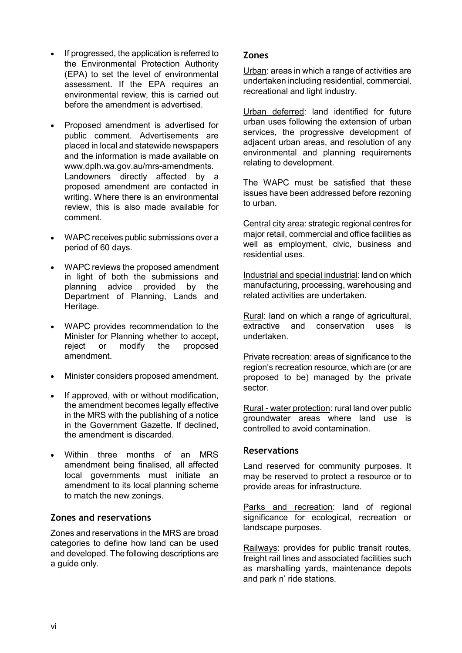- If progressed, the application is referred to the Environmental Protection Authority (EPA) to set the level of environmental assessment. If the EPA requires an environmental review, this is carried out before the amendment is advertised.
- Proposed amendment is advertised for public comment. Advertisements are placed in local and statewide newspapers and the information is made available on [www.dplh.wa.gov.au/mrs-amendments.](http://www.dplh.wa.gov.au/mrs-amendments) Landowners directly affected by a proposed amendment are contacted in writing. Where there is an environmental review, this is also made available for comment.
- WAPC receives public submissions over a period of 60 days.
- WAPC reviews the proposed amendment in light of both the submissions and planning advice provided by the Department of Planning, Lands and Heritage.
- WAPC provides recommendation to the Minister for Planning whether to accept, reject or modify the proposed amendment.
- Minister considers proposed amendment.
- If approved, with or without modification, the amendment becomes legally effective in the MRS with the publishing of a notice in the Government Gazette. If declined, the amendment is discarded.
- Within three months of an MRS amendment being finalised, all affected local governments must initiate an amendment to its local planning scheme to match the new zonings.

#### **Zones and reservations**

Zones and reservations in the MRS are broad categories to define how land can be used and developed. The following descriptions are a guide only.

#### **Zones**

Urban: areas in which a range of activities are undertaken including residential, commercial, recreational and light industry.

Urban deferred: land identified for future urban uses following the extension of urban services, the progressive development of adjacent urban areas, and resolution of any environmental and planning requirements relating to development.

The WAPC must be satisfied that these issues have been addressed before rezoning to urban.

Central city area: strategic regional centres for major retail, commercial and office facilities as well as employment, civic, business and residential uses.

Industrial and special industrial: land on which manufacturing, processing, warehousing and related activities are undertaken.

Rural: land on which a range of agricultural, extractive and conservation uses is undertaken.

Private recreation: areas of significance to the region's recreation resource, which are (or are proposed to be) managed by the private sector.

Rural - water protection: rural land over public groundwater areas where land use is controlled to avoid contamination.

#### **Reservations**

Land reserved for community purposes. It may be reserved to protect a resource or to provide areas for infrastructure.

Parks and recreation: land of regional significance for ecological, recreation or landscape purposes.

Railways: provides for public transit routes, freight rail lines and associated facilities such as marshalling yards, maintenance depots and park n' ride stations.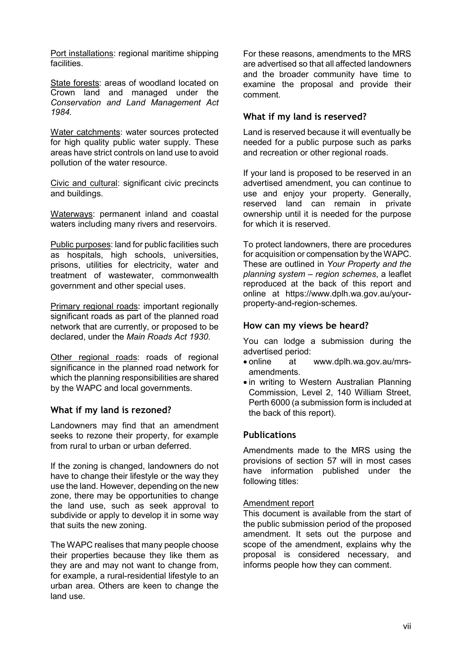Port installations: regional maritime shipping **facilities** 

State forests: areas of woodland located on Crown land and managed under the *Conservation and Land Management Act 1984.*

Water catchments: water sources protected for high quality public water supply. These areas have strict controls on land use to avoid pollution of the water resource.

Civic and cultural: significant civic precincts and buildings.

Waterways: permanent inland and coastal waters including many rivers and reservoirs.

Public purposes: land for public facilities such as hospitals, high schools, universities, prisons, utilities for electricity, water and treatment of wastewater, commonwealth government and other special uses.

Primary regional roads: important regionally significant roads as part of the planned road network that are currently, or proposed to be declared, under the *Main Roads Act 1930*.

Other regional roads: roads of regional significance in the planned road network for which the planning responsibilities are shared by the WAPC and local governments.

#### **What if my land is rezoned?**

Landowners may find that an amendment seeks to rezone their property, for example from rural to urban or urban deferred.

If the zoning is changed, landowners do not have to change their lifestyle or the way they use the land. However, depending on the new zone, there may be opportunities to change the land use, such as seek approval to subdivide or apply to develop it in some way that suits the new zoning.

The WAPC realises that many people choose their properties because they like them as they are and may not want to change from, for example, a rural-residential lifestyle to an urban area. Others are keen to change the land use.

For these reasons, amendments to the MRS are advertised so that all affected landowners and the broader community have time to examine the proposal and provide their comment.

#### **What if my land is reserved?**

Land is reserved because it will eventually be needed for a public purpose such as parks and recreation or other regional roads.

If your land is proposed to be reserved in an advertised amendment, you can continue to use and enjoy your property. Generally, reserved land can remain in private ownership until it is needed for the purpose for which it is reserved.

To protect landowners, there are procedures for acquisition or compensation by the WAPC. These are outlined in *Your Property and the planning system – region schemes*, a leaflet reproduced at the back of this report and online at [https://www.dplh.wa.gov.au/your](https://www.dplh.wa.gov.au/your-property-and-region-schemes)[property-and-region-schemes](https://www.dplh.wa.gov.au/your-property-and-region-schemes).

#### **How can my views be heard?**

You can lodge a submission during the advertised period:

- online at [www.dplh.wa.gov.au/mrs](http://www.dplh.wa.gov.au/mrs-amendments)[amendments.](http://www.dplh.wa.gov.au/mrs-amendments)
- in writing to Western Australian Planning Commission, Level 2, 140 William Street, Perth 6000 (a submission form is included at the back of this report).

#### **Publications**

Amendments made to the MRS using the provisions of section 57 will in most cases have information published under the following titles:

#### Amendment report

This document is available from the start of the public submission period of the proposed amendment. It sets out the purpose and scope of the amendment, explains why the proposal is considered necessary, and informs people how they can comment.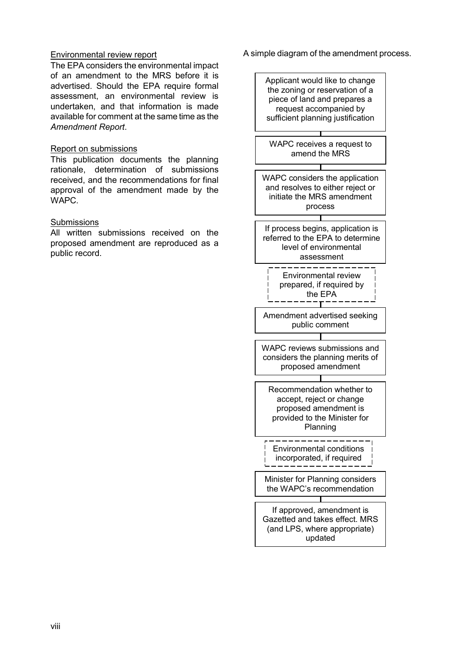#### Environmental review report

The EPA considers the environmental impact of an amendment to the MRS before it is advertised. Should the EPA require formal assessment, an environmental review is undertaken, and that information is made available for comment at the same time as the *Amendment Report*.

#### Report on submissions

This publication documents the planning rationale, determination of submissions received, and the recommendations for final approval of the amendment made by the WAPC.

#### **Submissions**

All written submissions received on the proposed amendment are reproduced as a public record.

A simple diagram of the amendment process.

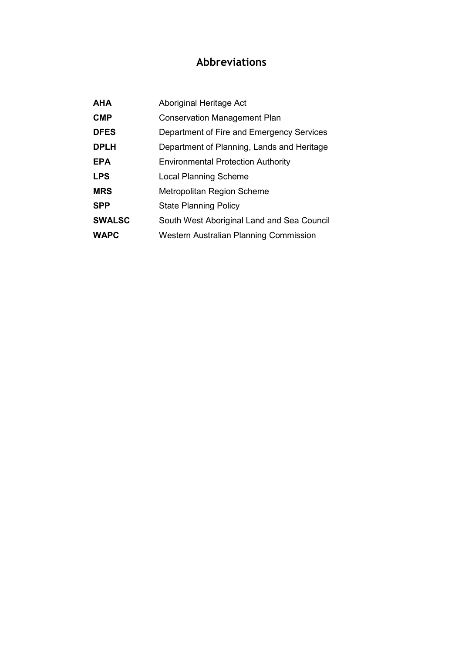## **Abbreviations**

| <b>AHA</b>    | Aboriginal Heritage Act                    |
|---------------|--------------------------------------------|
| <b>CMP</b>    | <b>Conservation Management Plan</b>        |
| <b>DFES</b>   | Department of Fire and Emergency Services  |
| <b>DPLH</b>   | Department of Planning, Lands and Heritage |
| <b>EPA</b>    | <b>Environmental Protection Authority</b>  |
| <b>LPS</b>    | <b>Local Planning Scheme</b>               |
| <b>MRS</b>    | <b>Metropolitan Region Scheme</b>          |
| <b>SPP</b>    | <b>State Planning Policy</b>               |
| <b>SWALSC</b> | South West Aboriginal Land and Sea Council |
| <b>WAPC</b>   | Western Australian Planning Commission     |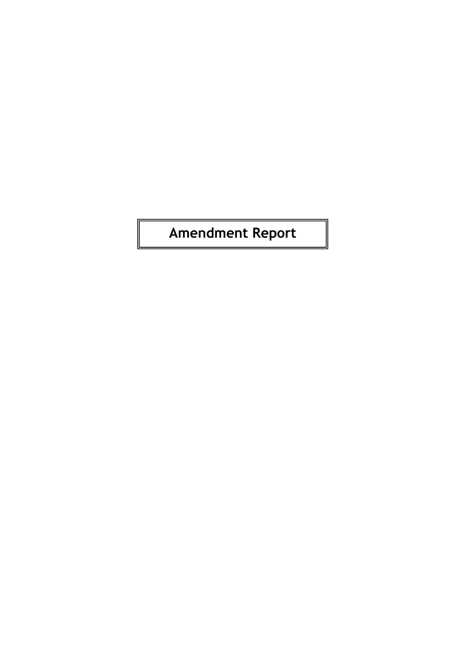# **Amendment Report**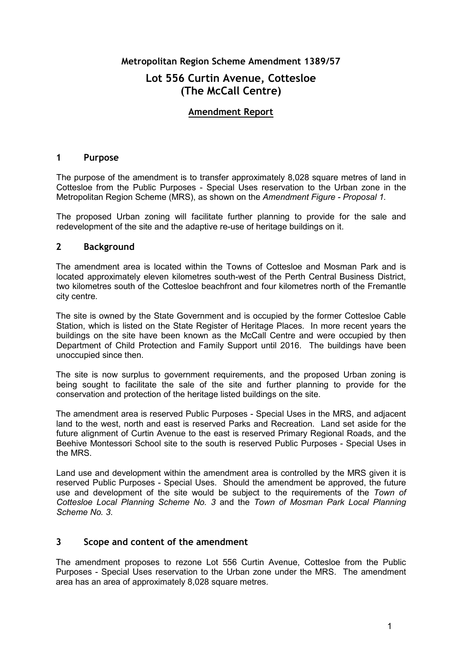#### **Metropolitan Region Scheme Amendment 1389/57**

## **Lot 556 Curtin Avenue, Cottesloe (The McCall Centre)**

#### **Amendment Report**

#### **1 Purpose**

The purpose of the amendment is to transfer approximately 8,028 square metres of land in Cottesloe from the Public Purposes - Special Uses reservation to the Urban zone in the Metropolitan Region Scheme (MRS), as shown on the *Amendment Figure - Proposal 1.*

The proposed Urban zoning will facilitate further planning to provide for the sale and redevelopment of the site and the adaptive re-use of heritage buildings on it.

#### **2 Background**

The amendment area is located within the Towns of Cottesloe and Mosman Park and is located approximately eleven kilometres south-west of the Perth Central Business District, two kilometres south of the Cottesloe beachfront and four kilometres north of the Fremantle city centre.

The site is owned by the State Government and is occupied by the former Cottesloe Cable Station, which is listed on the State Register of Heritage Places. In more recent years the buildings on the site have been known as the McCall Centre and were occupied by then Department of Child Protection and Family Support until 2016. The buildings have been unoccupied since then.

The site is now surplus to government requirements, and the proposed Urban zoning is being sought to facilitate the sale of the site and further planning to provide for the conservation and protection of the heritage listed buildings on the site.

The amendment area is reserved Public Purposes - Special Uses in the MRS, and adjacent land to the west, north and east is reserved Parks and Recreation. Land set aside for the future alignment of Curtin Avenue to the east is reserved Primary Regional Roads, and the Beehive Montessori School site to the south is reserved Public Purposes - Special Uses in the MRS.

Land use and development within the amendment area is controlled by the MRS given it is reserved Public Purposes - Special Uses. Should the amendment be approved, the future use and development of the site would be subject to the requirements of the *Town of Cottesloe Local Planning Scheme No. 3* and the *Town of Mosman Park Local Planning Scheme No. 3*.

#### **3 Scope and content of the amendment**

The amendment proposes to rezone Lot 556 Curtin Avenue, Cottesloe from the Public Purposes - Special Uses reservation to the Urban zone under the MRS. The amendment area has an area of approximately 8,028 square metres.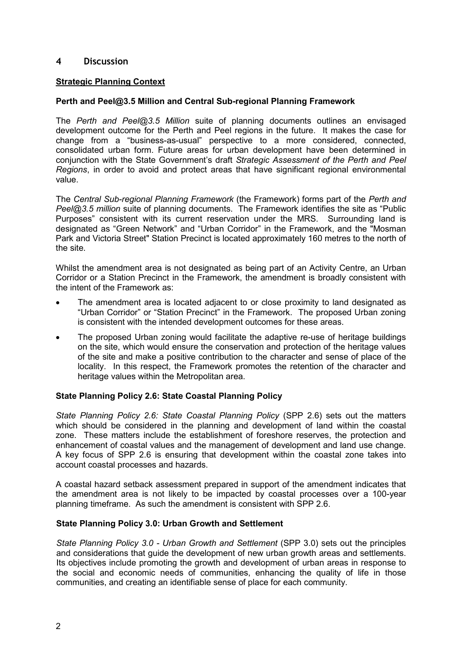#### **4 Discussion**

#### **Strategic Planning Context**

#### **Perth and Peel@3.5 Million and Central Sub-regional Planning Framework**

The *Perth and Peel@3.5 Million* suite of planning documents outlines an envisaged development outcome for the Perth and Peel regions in the future. It makes the case for change from a "business-as-usual" perspective to a more considered, connected, consolidated urban form. Future areas for urban development have been determined in conjunction with the State Government's draft *Strategic Assessment of the Perth and Peel Regions*, in order to avoid and protect areas that have significant regional environmental value.

The *Central Sub-regional Planning Framework* (the Framework) forms part of the *Perth and Peel@3.5 million* suite of planning documents. The Framework identifies the site as "Public Purposes" consistent with its current reservation under the MRS. Surrounding land is designated as "Green Network" and "Urban Corridor" in the Framework, and the "Mosman Park and Victoria Street" Station Precinct is located approximately 160 metres to the north of the site.

Whilst the amendment area is not designated as being part of an Activity Centre, an Urban Corridor or a Station Precinct in the Framework, the amendment is broadly consistent with the intent of the Framework as:

- The amendment area is located adjacent to or close proximity to land designated as "Urban Corridor" or "Station Precinct" in the Framework. The proposed Urban zoning is consistent with the intended development outcomes for these areas.
- The proposed Urban zoning would facilitate the adaptive re-use of heritage buildings on the site, which would ensure the conservation and protection of the heritage values of the site and make a positive contribution to the character and sense of place of the locality. In this respect, the Framework promotes the retention of the character and heritage values within the Metropolitan area.

#### **State Planning Policy 2.6: State Coastal Planning Policy**

*State Planning Policy 2.6: State Coastal Planning Policy* (SPP 2.6) sets out the matters which should be considered in the planning and development of land within the coastal zone. These matters include the establishment of foreshore reserves, the protection and enhancement of coastal values and the management of development and land use change. A key focus of SPP 2.6 is ensuring that development within the coastal zone takes into account coastal processes and hazards.

A coastal hazard setback assessment prepared in support of the amendment indicates that the amendment area is not likely to be impacted by coastal processes over a 100-year planning timeframe. As such the amendment is consistent with SPP 2.6.

#### **State Planning Policy 3.0: Urban Growth and Settlement**

*State Planning Policy 3.0 - Urban Growth and Settlement* (SPP 3.0) sets out the principles and considerations that guide the development of new urban growth areas and settlements. Its objectives include promoting the growth and development of urban areas in response to the social and economic needs of communities, enhancing the quality of life in those communities, and creating an identifiable sense of place for each community.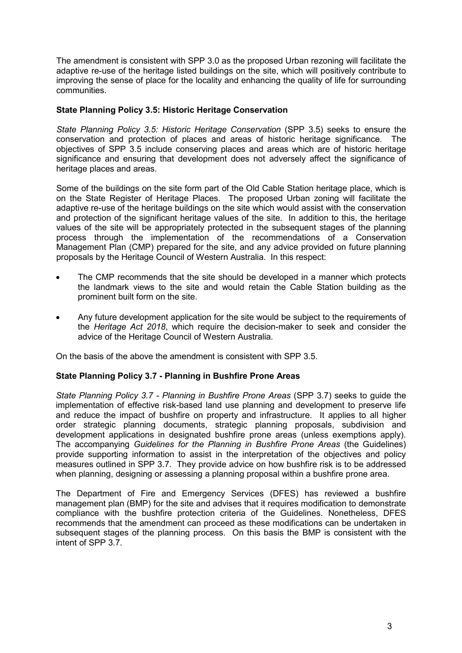The amendment is consistent with SPP 3.0 as the proposed Urban rezoning will facilitate the adaptive re-use of the heritage listed buildings on the site, which will positively contribute to improving the sense of place for the locality and enhancing the quality of life for surrounding communities.

#### **State Planning Policy 3.5: Historic Heritage Conservation**

*State Planning Policy 3.5: Historic Heritage Conservation (SPP 3.5)* seeks to ensure the conservation and protection of places and areas of historic heritage significance. The objectives of SPP 3.5 include conserving places and areas which are of historic heritage significance and ensuring that development does not adversely affect the significance of heritage places and areas.

Some of the buildings on the site form part of the Old Cable Station heritage place, which is on the State Register of Heritage Places. The proposed Urban zoning will facilitate the adaptive re-use of the heritage buildings on the site which would assist with the conservation and protection of the significant heritage values of the site. In addition to this, the heritage values of the site will be appropriately protected in the subsequent stages of the planning process through the implementation of the recommendations of a Conservation Management Plan (CMP) prepared for the site, and any advice provided on future planning proposals by the Heritage Council of Western Australia. In this respect:

- The CMP recommends that the site should be developed in a manner which protects the landmark views to the site and would retain the Cable Station building as the prominent built form on the site.
- Any future development application for the site would be subject to the requirements of the *Heritage Act 2018*, which require the decision-maker to seek and consider the advice of the Heritage Council of Western Australia.

On the basis of the above the amendment is consistent with SPP 3.5.

#### **State Planning Policy 3.7 - Planning in Bushfire Prone Areas**

*State Planning Policy 3.7 - Planning in Bushfire Prone Areas* (SPP 3.7) seeks to guide the implementation of effective risk-based land use planning and development to preserve life and reduce the impact of bushfire on property and infrastructure. It applies to all higher order strategic planning documents, strategic planning proposals, subdivision and development applications in designated bushfire prone areas (unless exemptions apply). The accompanying *Guidelines for the Planning in Bushfire Prone Areas* (the Guidelines) provide supporting information to assist in the interpretation of the objectives and policy measures outlined in SPP 3.7. They provide advice on how bushfire risk is to be addressed when planning, designing or assessing a planning proposal within a bushfire prone area.

The Department of Fire and Emergency Services (DFES) has reviewed a bushfire management plan (BMP) for the site and advises that it requires modification to demonstrate compliance with the bushfire protection criteria of the Guidelines. Nonetheless, DFES recommends that the amendment can proceed as these modifications can be undertaken in subsequent stages of the planning process. On this basis the BMP is consistent with the intent of SPP 3.7.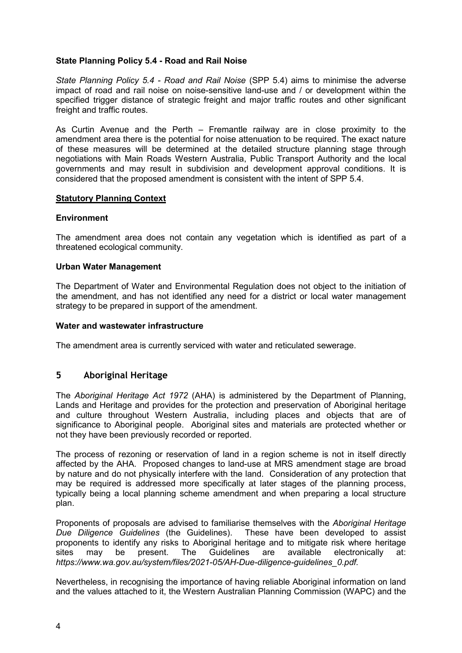#### **State Planning Policy 5.4 - Road and Rail Noise**

*State Planning Policy 5.4 - Road and Rail Noise* (SPP 5.4) aims to minimise the adverse impact of road and rail noise on noise-sensitive land-use and / or development within the specified trigger distance of strategic freight and major traffic routes and other significant freight and traffic routes.

As Curtin Avenue and the Perth – Fremantle railway are in close proximity to the amendment area there is the potential for noise attenuation to be required. The exact nature of these measures will be determined at the detailed structure planning stage through negotiations with Main Roads Western Australia, Public Transport Authority and the local governments and may result in subdivision and development approval conditions. It is considered that the proposed amendment is consistent with the intent of SPP 5.4.

#### **Statutory Planning Context**

#### **Environment**

The amendment area does not contain any vegetation which is identified as part of a threatened ecological community.

#### **Urban Water Management**

The Department of Water and Environmental Regulation does not object to the initiation of the amendment, and has not identified any need for a district or local water management strategy to be prepared in support of the amendment.

#### **Water and wastewater infrastructure**

The amendment area is currently serviced with water and reticulated sewerage.

#### **5 Aboriginal Heritage**

The *Aboriginal Heritage Act 1972* (AHA) is administered by the Department of Planning, Lands and Heritage and provides for the protection and preservation of Aboriginal heritage and culture throughout Western Australia, including places and objects that are of significance to Aboriginal people. Aboriginal sites and materials are protected whether or not they have been previously recorded or reported.

The process of rezoning or reservation of land in a region scheme is not in itself directly affected by the AHA. Proposed changes to land-use at MRS amendment stage are broad by nature and do not physically interfere with the land. Consideration of any protection that may be required is addressed more specifically at later stages of the planning process, typically being a local planning scheme amendment and when preparing a local structure plan.

Proponents of proposals are advised to familiarise themselves with the *Aboriginal Heritage Due Diligence Guidelines* (the Guidelines). proponents to identify any risks to Aboriginal heritage and to mitigate risk where heritage sites may be present. The Guidelines are available electronically at: *[https://www.wa.gov.au/system/files/2021-05/AH-Due-diligence-guidelines\\_0.pdf.](https://www.wa.gov.au/system/files/2021-05/AH-Due-diligence-guidelines_0.pdf)*

Nevertheless, in recognising the importance of having reliable Aboriginal information on land and the values attached to it, the Western Australian Planning Commission (WAPC) and the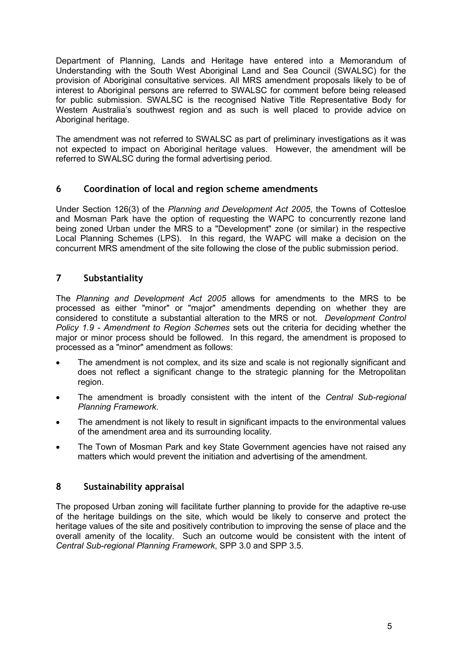Department of Planning, Lands and Heritage have entered into a Memorandum of Understanding with the South West Aboriginal Land and Sea Council (SWALSC) for the provision of Aboriginal consultative services. All MRS amendment proposals likely to be of interest to Aboriginal persons are referred to SWALSC for comment before being released for public submission. SWALSC is the recognised Native Title Representative Body for Western Australia's southwest region and as such is well placed to provide advice on Aboriginal heritage.

The amendment was not referred to SWALSC as part of preliminary investigations as it was not expected to impact on Aboriginal heritage values. However, the amendment will be referred to SWALSC during the formal advertising period.

#### **6 Coordination of local and region scheme amendments**

Under Section 126(3) of the *Planning and Development Act 2005*, the Towns of Cottesloe and Mosman Park have the option of requesting the WAPC to concurrently rezone land being zoned Urban under the MRS to a "Development" zone (or similar) in the respective Local Planning Schemes (LPS). In this regard, the WAPC will make a decision on the concurrent MRS amendment of the site following the close of the public submission period.

#### **7 Substantiality**

The *Planning and Development Act 2005* allows for amendments to the MRS to be processed as either "minor" or "major" amendments depending on whether they are considered to constitute a substantial alteration to the MRS or not. *Development Control Policy 1.9 - Amendment to Region Schemes* sets out the criteria for deciding whether the major or minor process should be followed. In this regard, the amendment is proposed to processed as a "minor" amendment as follows:

- The amendment is not complex, and its size and scale is not regionally significant and does not reflect a significant change to the strategic planning for the Metropolitan region.
- The amendment is broadly consistent with the intent of the *Central Sub-regional Planning Framework*.
- The amendment is not likely to result in significant impacts to the environmental values of the amendment area and its surrounding locality.
- The Town of Mosman Park and key State Government agencies have not raised any matters which would prevent the initiation and advertising of the amendment.

#### **8 Sustainability appraisal**

The proposed Urban zoning will facilitate further planning to provide for the adaptive re-use of the heritage buildings on the site, which would be likely to conserve and protect the heritage values of the site and positively contribution to improving the sense of place and the overall amenity of the locality. Such an outcome would be consistent with the intent of *Central Sub-regional Planning Framework*, SPP 3.0 and SPP 3.5.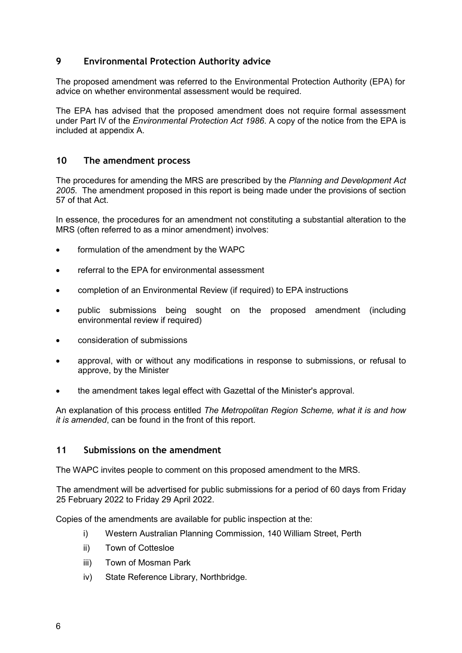### **9 Environmental Protection Authority advice**

The proposed amendment was referred to the Environmental Protection Authority (EPA) for advice on whether environmental assessment would be required.

The EPA has advised that the proposed amendment does not require formal assessment under Part IV of the *Environmental Protection Act 1986*. A copy of the notice from the EPA is included at appendix A.

#### **10 The amendment process**

The procedures for amending the MRS are prescribed by the *Planning and Development Act 2005*. The amendment proposed in this report is being made under the provisions of section 57 of that Act.

In essence, the procedures for an amendment not constituting a substantial alteration to the MRS (often referred to as a minor amendment) involves:

- formulation of the amendment by the WAPC
- referral to the EPA for environmental assessment
- completion of an Environmental Review (if required) to EPA instructions
- public submissions being sought on the proposed amendment (including environmental review if required)
- consideration of submissions
- approval, with or without any modifications in response to submissions, or refusal to approve, by the Minister
- the amendment takes legal effect with Gazettal of the Minister's approval.

An explanation of this process entitled *The Metropolitan Region Scheme, what it is and how it is amended*, can be found in the front of this report.

#### **11 Submissions on the amendment**

The WAPC invites people to comment on this proposed amendment to the MRS.

The amendment will be advertised for public submissions for a period of 60 days from Friday 25 February 2022 to Friday 29 April 2022.

Copies of the amendments are available for public inspection at the:

- i) Western Australian Planning Commission, 140 William Street, Perth
- ii) Town of Cottesloe
- iii) Town of Mosman Park
- iv) State Reference Library, Northbridge.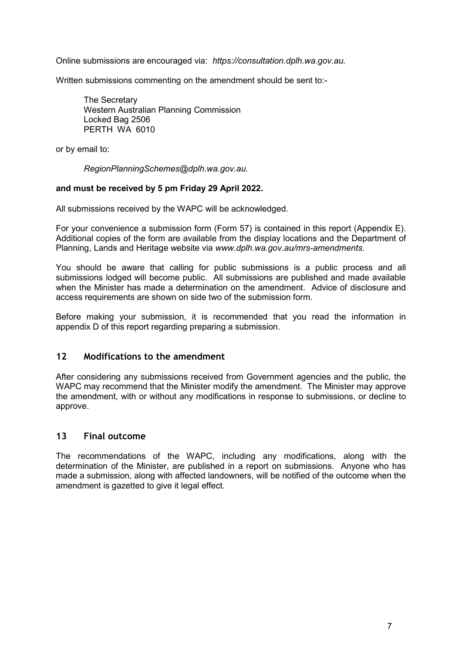Online submissions are encouraged via: *[https://consultation.dplh.wa.gov.au.](https://consultation.dplh.wa.gov.au/)*

Written submissions commenting on the amendment should be sent to:-

The Secretary Western Australian Planning Commission Locked Bag 2506 PERTH WA 6010

or by email to:

*[RegionPlanningSchemes@dplh.wa.gov.au.](mailto:RegionPlanningSchemes@dplh.wa.gov.au)*

#### **and must be received by 5 pm Friday 29 April 2022.**

All submissions received by the WAPC will be acknowledged.

For your convenience a submission form (Form 57) is contained in this report (Appendix E). Additional copies of the form are available from the display locations and the Department of Planning, Lands and Heritage website via *www.dplh.wa.gov.au/mrs-amendments*.

You should be aware that calling for public submissions is a public process and all submissions lodged will become public. All submissions are published and made available when the Minister has made a determination on the amendment. Advice of disclosure and access requirements are shown on side two of the submission form.

Before making your submission, it is recommended that you read the information in appendix D of this report regarding preparing a submission.

#### **12 Modifications to the amendment**

After considering any submissions received from Government agencies and the public, the WAPC may recommend that the Minister modify the amendment. The Minister may approve the amendment, with or without any modifications in response to submissions, or decline to approve.

#### **13 Final outcome**

The recommendations of the WAPC, including any modifications, along with the determination of the Minister, are published in a report on submissions. Anyone who has made a submission, along with affected landowners, will be notified of the outcome when the amendment is gazetted to give it legal effect.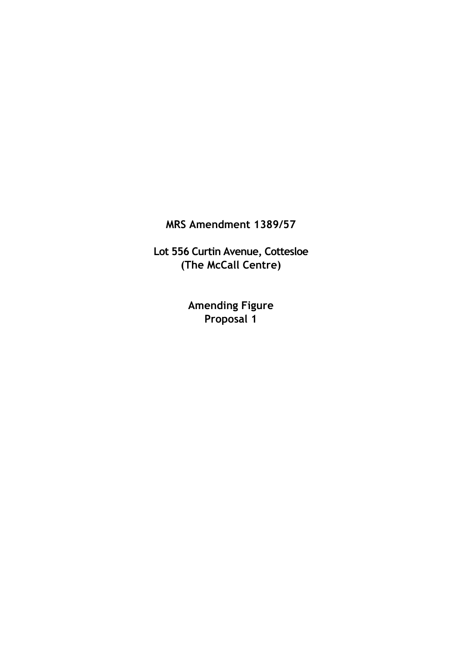**MRS Amendment 1389/57**

**Lot 556 Curtin Avenue, Cottesloe (The McCall Centre)**

> **Amending Figure Proposal 1**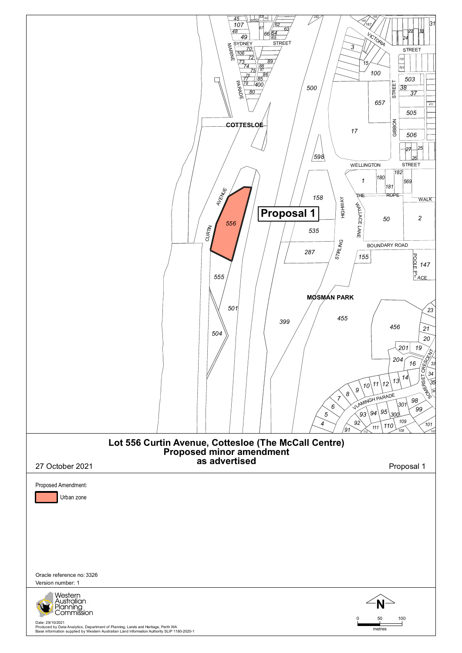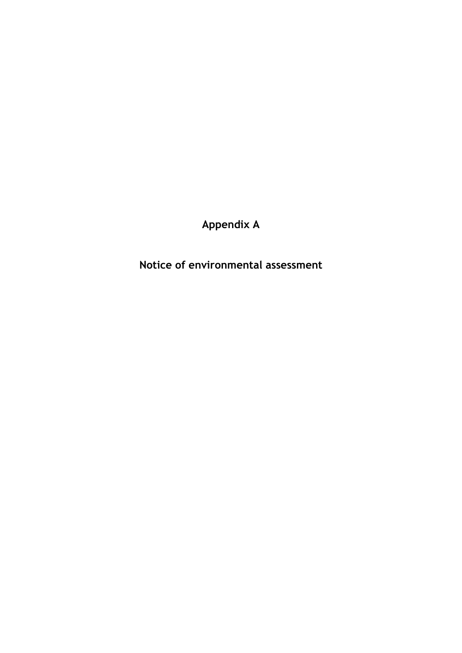**Appendix A**

**Notice of environmental assessment**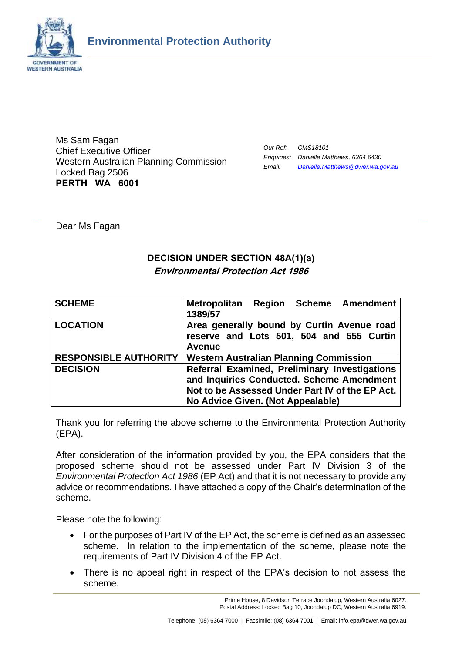

Ms Sam Fagan Chief Executive Officer Western Australian Planning Commission Locked Bag 2506 **PERTH WA 6001**

| Our Ref: | CMS18101                                |
|----------|-----------------------------------------|
|          | Enquiries: Danielle Matthews, 6364 6430 |
| Email:   | Danielle.Matthews@dwer.wa.gov.au        |

Dear Ms Fagan

## **DECISION UNDER SECTION 48A(1)(a) Environmental Protection Act 1986**

| <b>SCHEME</b>                | Metropolitan Region Scheme Amendment<br>1389/57 |
|------------------------------|-------------------------------------------------|
| <b>LOCATION</b>              | Area generally bound by Curtin Avenue road      |
|                              | reserve and Lots 501, 504 and 555 Curtin        |
|                              | <b>Avenue</b>                                   |
| <b>RESPONSIBLE AUTHORITY</b> | <b>Western Australian Planning Commission</b>   |
| <b>DECISION</b>              | Referral Examined, Preliminary Investigations   |
|                              | and Inquiries Conducted. Scheme Amendment       |
|                              | Not to be Assessed Under Part IV of the EP Act. |
|                              | No Advice Given. (Not Appealable)               |

Thank you for referring the above scheme to the Environmental Protection Authority (EPA).

After consideration of the information provided by you, the EPA considers that the proposed scheme should not be assessed under Part IV Division 3 of the *Environmental Protection Act 1986* (EP Act) and that it is not necessary to provide any advice or recommendations. I have attached a copy of the Chair's determination of the scheme.

Please note the following:

- For the purposes of Part IV of the EP Act, the scheme is defined as an assessed scheme. In relation to the implementation of the scheme, please note the requirements of Part IV Division 4 of the EP Act.
- There is no appeal right in respect of the EPA's decision to not assess the scheme.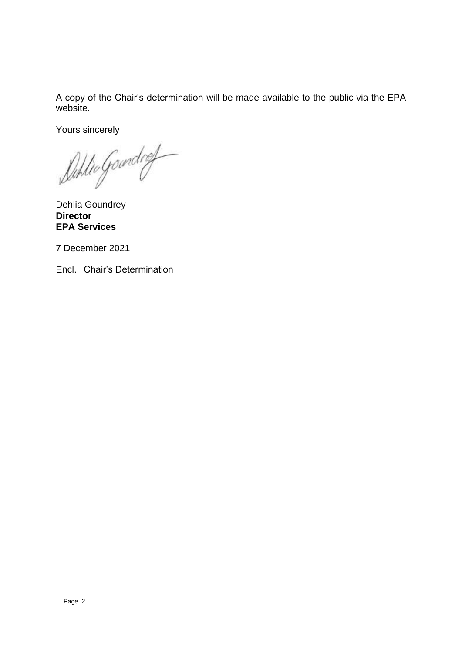A copy of the Chair's determination will be made available to the public via the EPA website.

Yours sincerely

Duhlio Goundrey

Dehlia Goundrey **Director EPA Services**

7 December 2021

Encl. Chair's Determination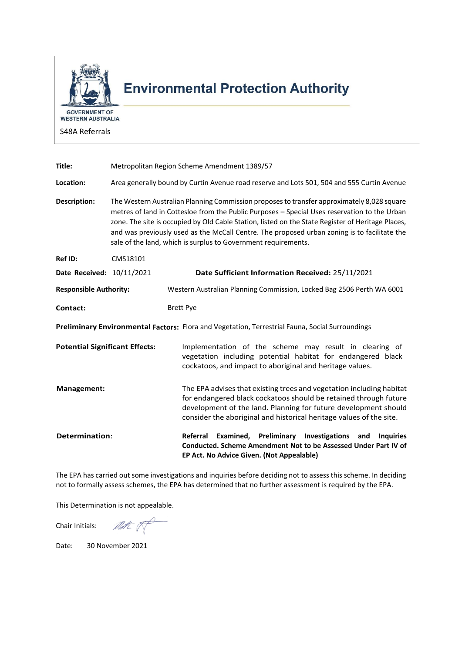

# **Environmental Protection Authority**

WESTERN AUSTRALIA

S48A Referrals

| Title:                                |          | Metropolitan Region Scheme Amendment 1389/57                                                                                                                                                                                                                                                                                                                                                                                                                      |
|---------------------------------------|----------|-------------------------------------------------------------------------------------------------------------------------------------------------------------------------------------------------------------------------------------------------------------------------------------------------------------------------------------------------------------------------------------------------------------------------------------------------------------------|
| Location:                             |          | Area generally bound by Curtin Avenue road reserve and Lots 501, 504 and 555 Curtin Avenue                                                                                                                                                                                                                                                                                                                                                                        |
| Description:                          |          | The Western Australian Planning Commission proposes to transfer approximately 8,028 square<br>metres of land in Cottesloe from the Public Purposes - Special Uses reservation to the Urban<br>zone. The site is occupied by Old Cable Station, listed on the State Register of Heritage Places,<br>and was previously used as the McCall Centre. The proposed urban zoning is to facilitate the<br>sale of the land, which is surplus to Government requirements. |
| Ref ID:                               | CMS18101 |                                                                                                                                                                                                                                                                                                                                                                                                                                                                   |
| Date Received: 10/11/2021             |          | Date Sufficient Information Received: 25/11/2021                                                                                                                                                                                                                                                                                                                                                                                                                  |
| <b>Responsible Authority:</b>         |          | Western Australian Planning Commission, Locked Bag 2506 Perth WA 6001                                                                                                                                                                                                                                                                                                                                                                                             |
| Contact:                              |          | <b>Brett Pye</b>                                                                                                                                                                                                                                                                                                                                                                                                                                                  |
|                                       |          | Preliminary Environmental Factors: Flora and Vegetation, Terrestrial Fauna, Social Surroundings                                                                                                                                                                                                                                                                                                                                                                   |
| <b>Potential Significant Effects:</b> |          | Implementation of the scheme may result in clearing of<br>vegetation including potential habitat for endangered black<br>cockatoos, and impact to aboriginal and heritage values.                                                                                                                                                                                                                                                                                 |
| Management:                           |          | The EPA advises that existing trees and vegetation including habitat<br>for endangered black cockatoos should be retained through future<br>development of the land. Planning for future development should<br>consider the aboriginal and historical heritage values of the site.                                                                                                                                                                                |
| Determination:                        |          | Examined, Preliminary Investigations<br>Referral<br>and<br><b>Inquiries</b><br>Conducted. Scheme Amendment Not to be Assessed Under Part IV of<br>EP Act. No Advice Given. (Not Appealable)                                                                                                                                                                                                                                                                       |

The EPA has carried out some investigations and inquiries before deciding not to assess this scheme. In deciding not to formally assess schemes, the EPA has determined that no further assessment is required by the EPA.

This Determination is not appealable.

Chair Initials: MAC

Date: 30 November 2021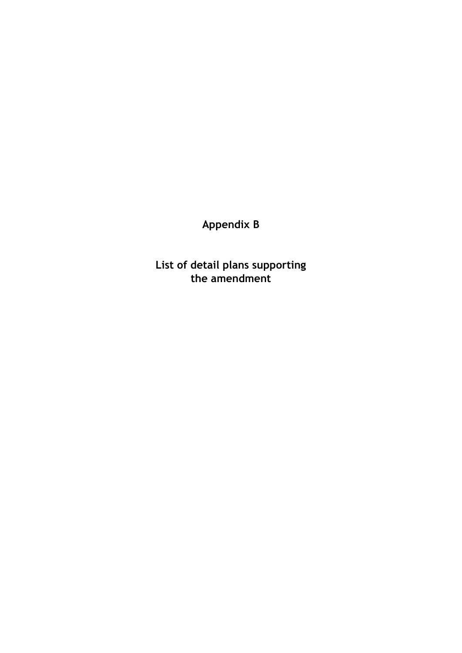**Appendix B**

**List of detail plans supporting the amendment**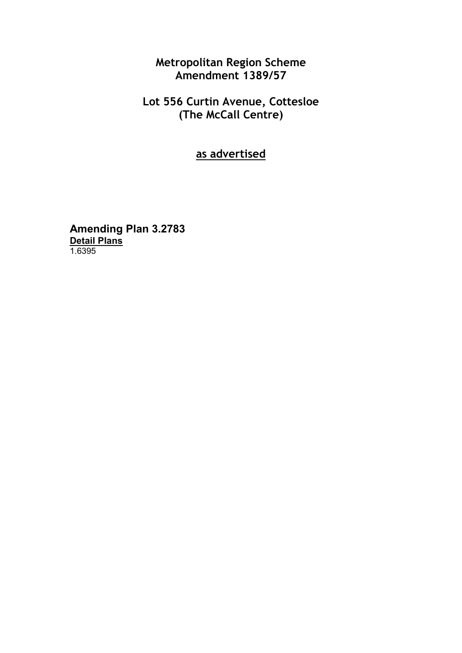**Metropolitan Region Scheme Amendment 1389/57**

**Lot 556 Curtin Avenue, Cottesloe (The McCall Centre)**

**as advertised**

**Amending Plan 3.2783 Detail Plans** 1.6395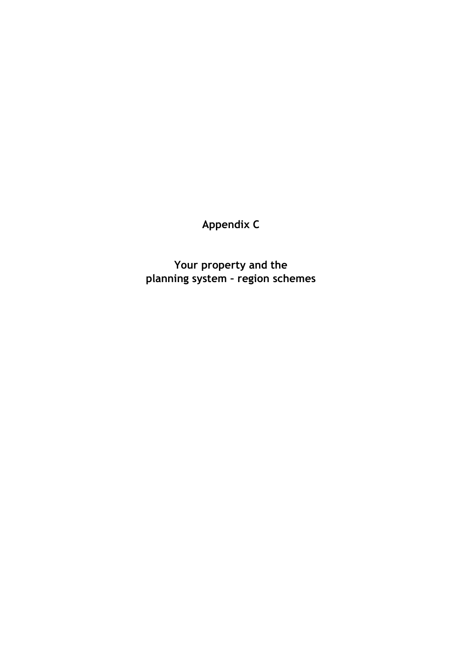**Appendix C**

**Your property and the planning system – region schemes**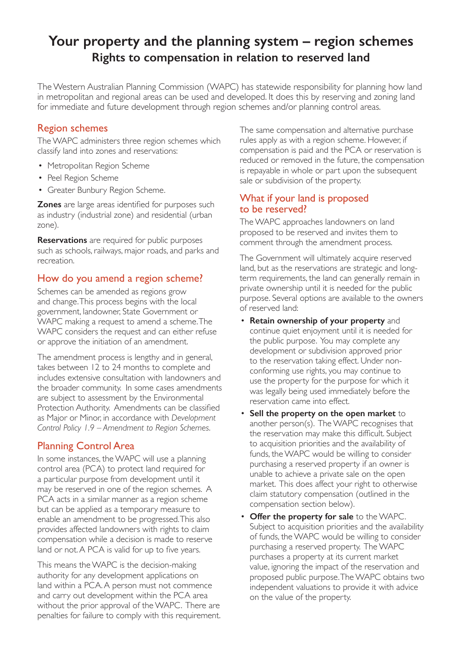## **Your property and the planning system – region schemes Rights to compensation in relation to reserved land**

The Western Australian Planning Commission (WAPC) has statewide responsibility for planning how land in metropolitan and regional areas can be used and developed. It does this by reserving and zoning land for immediate and future development through region schemes and/or planning control areas.

## Region schemes

The WAPC administers three region schemes which classify land into zones and reservations:

- Metropolitan Region Scheme
- Peel Region Scheme
- Greater Bunbury Region Scheme.

**Zones** are large areas identified for purposes such as industry (industrial zone) and residential (urban zone).

**Reservations** are required for public purposes such as schools, railways, major roads, and parks and recreation.

## How do you amend a region scheme?

Schemes can be amended as regions grow and change. This process begins with the local government, landowner, State Government or WAPC making a request to amend a scheme. The WAPC considers the request and can either refuse or approve the initiation of an amendment.

The amendment process is lengthy and in general, takes between 12 to 24 months to complete and includes extensive consultation with landowners and the broader community. In some cases amendments are subject to assessment by the Environmental Protection Authority. Amendments can be classified as Major or Minor, in accordance with *Development Control Policy 1.9 – Amendment to Region Schemes*.

## Planning Control Area

In some instances, the WAPC will use a planning control area (PCA) to protect land required for a particular purpose from development until it may be reserved in one of the region schemes. A PCA acts in a similar manner as a region scheme but can be applied as a temporary measure to enable an amendment to be progressed. This also provides affected landowners with rights to claim compensation while a decision is made to reserve land or not. A PCA is valid for up to five years.

This means the WAPC is the decision-making authority for any development applications on land within a PCA. A person must not commence and carry out development within the PCA area without the prior approval of the WAPC. There are penalties for failure to comply with this requirement. The same compensation and alternative purchase rules apply as with a region scheme. However, if compensation is paid and the PCA or reservation is reduced or removed in the future, the compensation is repayable in whole or part upon the subsequent sale or subdivision of the property.

### What if your land is proposed to be reserved?

The WAPC approaches landowners on land proposed to be reserved and invites them to comment through the amendment process.

The Government will ultimately acquire reserved land, but as the reservations are strategic and longterm requirements, the land can generally remain in private ownership until it is needed for the public purpose. Several options are available to the owners of reserved land:

- **Retain ownership of your property** and continue quiet enjoyment until it is needed for the public purpose. You may complete any development or subdivision approved prior to the reservation taking effect. Under nonconforming use rights, you may continue to use the property for the purpose for which it was legally being used immediately before the reservation came into effect.
- **Sell the property on the open market** to another person(s). The WAPC recognises that the reservation may make this difficult. Subject to acquisition priorities and the availability of funds, the WAPC would be willing to consider purchasing a reserved property if an owner is unable to achieve a private sale on the open market. This does affect your right to otherwise claim statutory compensation (outlined in the compensation section below).
- **Offer the property for sale** to the WAPC. Subject to acquisition priorities and the availability of funds, the WAPC would be willing to consider purchasing a reserved property. The WAPC purchases a property at its current market value, ignoring the impact of the reservation and proposed public purpose. The WAPC obtains two independent valuations to provide it with advice on the value of the property.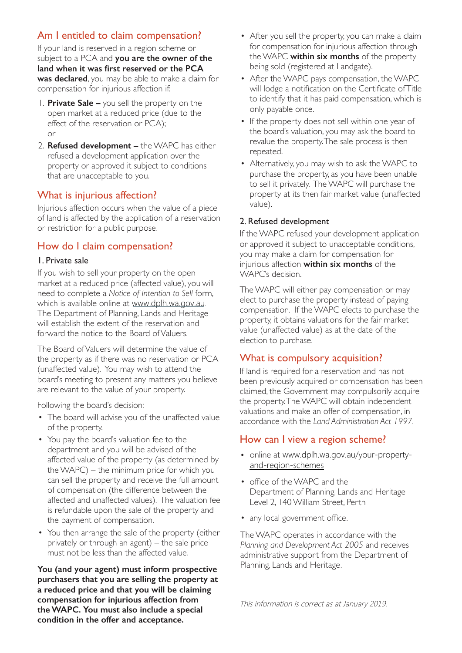## Am I entitled to claim compensation?

If your land is reserved in a region scheme or subject to a PCA and **you are the owner of the land when it was first reserved or the PCA was declared**, you may be able to make a claim for compensation for injurious affection if:

- 1. **Private Sale –** you sell the property on the open market at a reduced price (due to the effect of the reservation or PCA); or
- 2. **Refused development –** the WAPC has either refused a development application over the property or approved it subject to conditions that are unacceptable to you.

## What is injurious affection?

Injurious affection occurs when the value of a piece of land is affected by the application of a reservation or restriction for a public purpose.

### How do I claim compensation?

#### 1. Private sale

If you wish to sell your property on the open market at a reduced price (affected value), you will need to complete a *Notice of Intention to Sell* form, which is available online at www.dplh.wa.gov.au. The Department of Planning, Lands and Heritage will establish the extent of the reservation and forward the notice to the Board of Valuers.

The Board of Valuers will determine the value of the property as if there was no reservation or PCA (unaffected value). You may wish to attend the board's meeting to present any matters you believe are relevant to the value of your property.

Following the board's decision:

- The board will advise you of the unaffected value of the property.
- You pay the board's valuation fee to the department and you will be advised of the affected value of the property (as determined by the WAPC) – the minimum price for which you can sell the property and receive the full amount of compensation (the difference between the affected and unaffected values). The valuation fee is refundable upon the sale of the property and the payment of compensation.
- You then arrange the sale of the property (either privately or through an agent) – the sale price must not be less than the affected value.

**You (and your agent) must inform prospective purchasers that you are selling the property at a reduced price and that you will be claiming compensation for injurious affection from the WAPC. You must also include a special condition in the offer and acceptance.**

- After you sell the property, you can make a claim for compensation for injurious affection through the WAPC **within six months** of the property being sold (registered at Landgate).
- After the WAPC pays compensation, the WAPC will lodge a notification on the Certificate of Title to identify that it has paid compensation, which is only payable once.
- If the property does not sell within one year of the board's valuation, you may ask the board to revalue the property. The sale process is then repeated.
- Alternatively, you may wish to ask the WAPC to purchase the property, as you have been unable to sell it privately. The WAPC will purchase the property at its then fair market value (unaffected value).

#### 2. Refused development

If the WAPC refused your development application or approved it subject to unacceptable conditions, you may make a claim for compensation for injurious affection **within six months** of the WAPC's decision.

The WAPC will either pay compensation or may elect to purchase the property instead of paying compensation. If the WAPC elects to purchase the property, it obtains valuations for the fair market value (unaffected value) as at the date of the election to purchase.

## What is compulsory acquisition?

If land is required for a reservation and has not been previously acquired or compensation has been claimed, the Government may compulsorily acquire the property. The WAPC will obtain independent valuations and make an offer of compensation, in accordance with the *Land Administration Act 1997*.

## How can I view a region scheme?

- online at www.dplh.wa.gov.au/your-propertyand-region-schemes
- office of the WAPC and the Department of Planning, Lands and Heritage Level 2, 140 William Street, Perth
- any local government office.

The WAPC operates in accordance with the *Planning and Development Act 2005* and receives administrative support from the Department of Planning, Lands and Heritage.

This information is correct as at January 2019.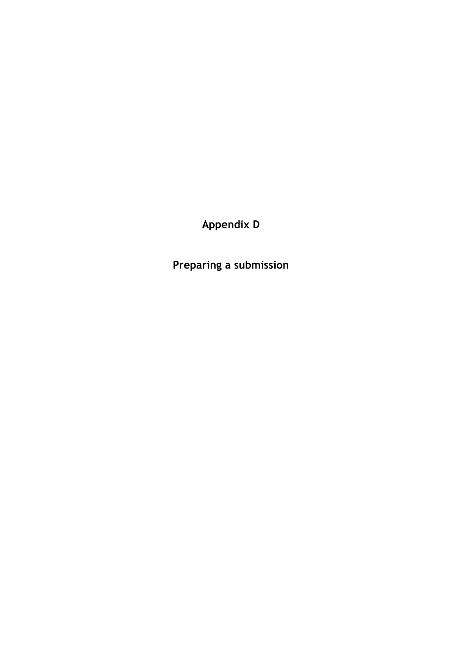**Appendix D**

**Preparing a submission**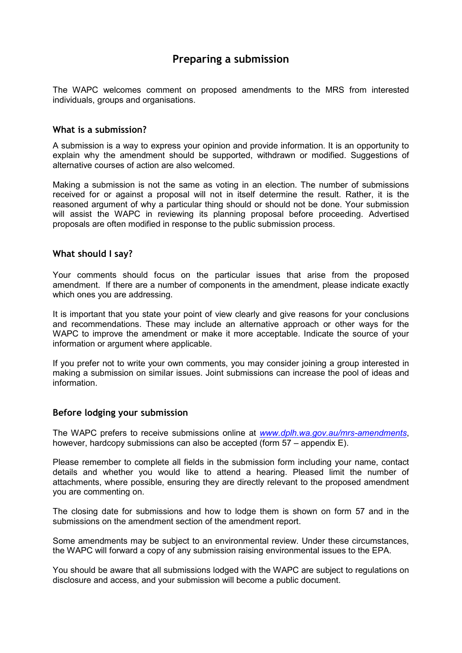## **Preparing a submission**

The WAPC welcomes comment on proposed amendments to the MRS from interested individuals, groups and organisations.

#### **What is a submission?**

A submission is a way to express your opinion and provide information. It is an opportunity to explain why the amendment should be supported, withdrawn or modified. Suggestions of alternative courses of action are also welcomed.

Making a submission is not the same as voting in an election. The number of submissions received for or against a proposal will not in itself determine the result. Rather, it is the reasoned argument of why a particular thing should or should not be done. Your submission will assist the WAPC in reviewing its planning proposal before proceeding. Advertised proposals are often modified in response to the public submission process.

#### **What should I say?**

Your comments should focus on the particular issues that arise from the proposed amendment. If there are a number of components in the amendment, please indicate exactly which ones you are addressing.

It is important that you state your point of view clearly and give reasons for your conclusions and recommendations. These may include an alternative approach or other ways for the WAPC to improve the amendment or make it more acceptable. Indicate the source of your information or argument where applicable.

If you prefer not to write your own comments, you may consider joining a group interested in making a submission on similar issues. Joint submissions can increase the pool of ideas and information.

#### **Before lodging your submission**

The WAPC prefers to receive submissions online at *[www.dplh.wa.gov.au/mrs-amendments](http://www.dplh.wa.gov.au/mrs-amendments)*, however, hardcopy submissions can also be accepted (form 57 – appendix E).

Please remember to complete all fields in the submission form including your name, contact details and whether you would like to attend a hearing. Pleased limit the number of attachments, where possible, ensuring they are directly relevant to the proposed amendment you are commenting on.

The closing date for submissions and how to lodge them is shown on form 57 and in the submissions on the amendment section of the amendment report.

Some amendments may be subject to an environmental review. Under these circumstances, the WAPC will forward a copy of any submission raising environmental issues to the EPA.

You should be aware that all submissions lodged with the WAPC are subject to regulations on disclosure and access, and your submission will become a public document.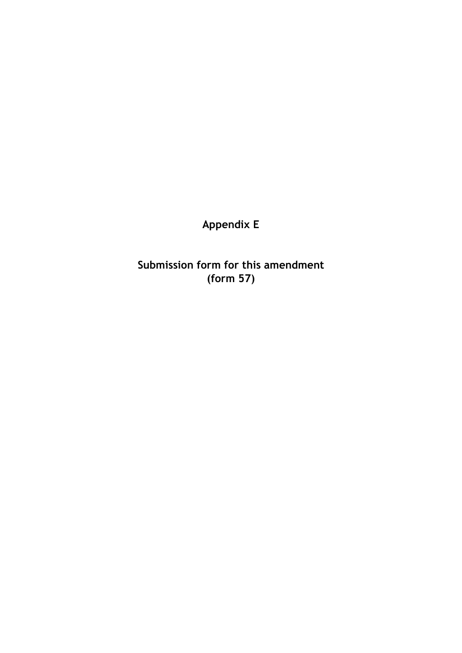**Appendix E**

**Submission form for this amendment (form 57)**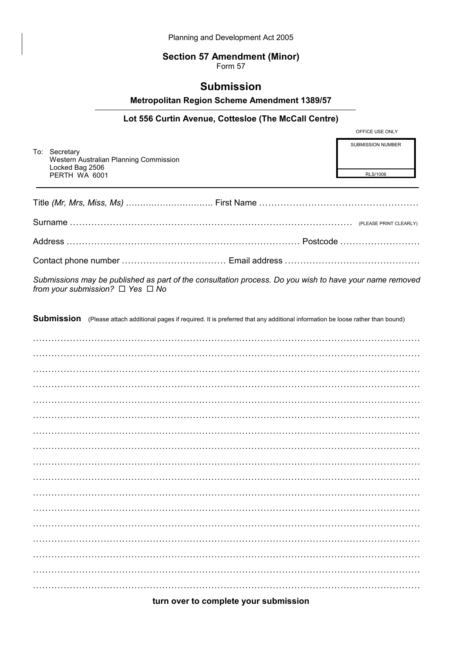#### **Section 57 Amendment (Minor)**

Form 57

### **Submission**

Metropolitan Region Scheme Amendment 1389/57

#### Lot 556 Curtin Avenue, Cottesloe (The McCall Centre)

To: Secretary Western Australian Planning Commission Locked Bag 2506 PERTH WA 6001

OFFICE USE ONLY SLIBMISSION NUMBER

RLS/1006

Submissions may be published as part of the consultation process. Do you wish to have your name removed from your submission?  $\Box$  Yes  $\Box$  No

Submission (Please attach additional pages if required. It is preferred that any additional information be loose rather than bound)

#### turn over to complete your submission